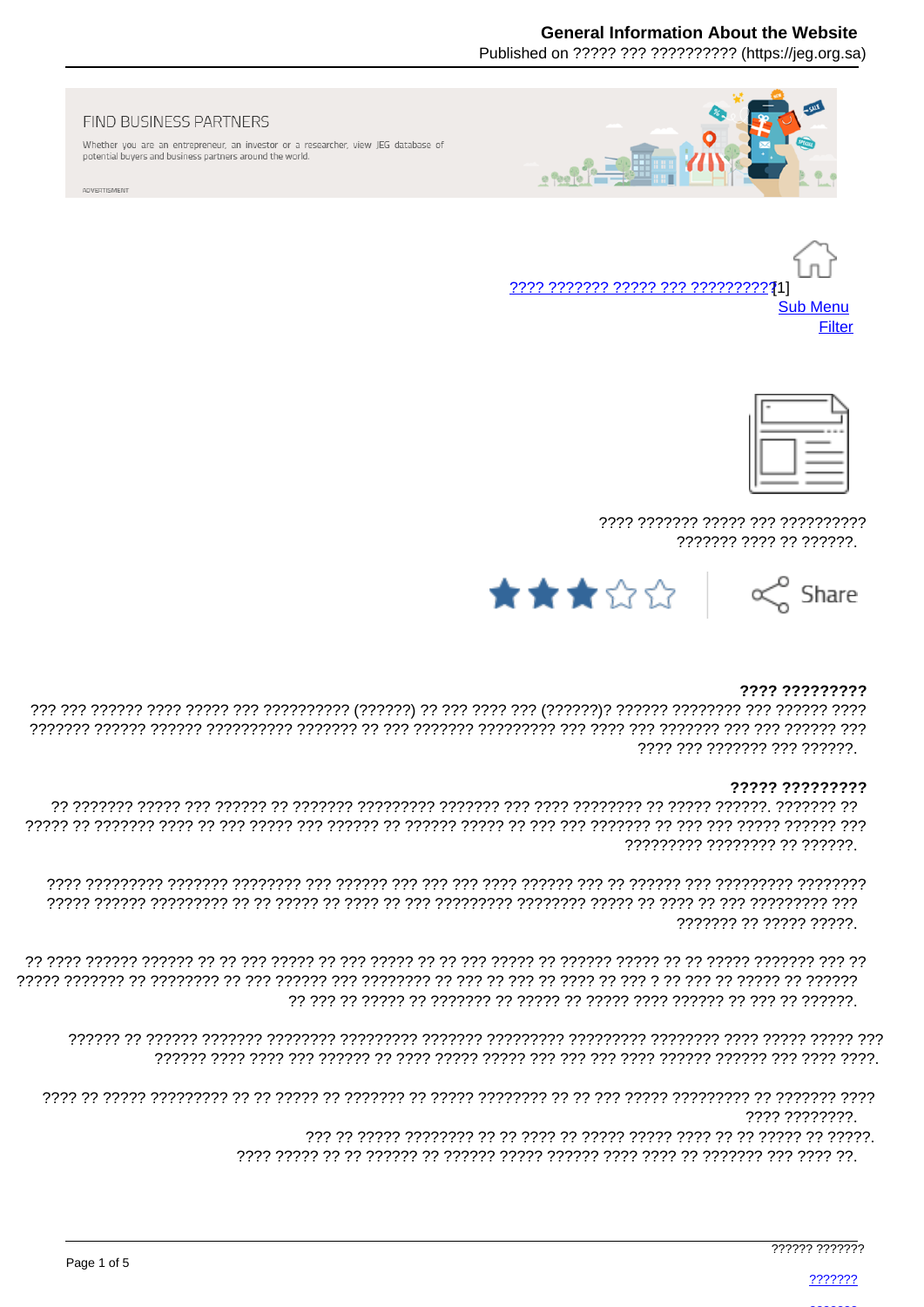### **General Information About the Website**

Published on ????? ??? ?????????? (https://ieg.org.sa)



FIND BUSINESS PARTNERS

Whether you are an entrepreneur, an investor or a researcher, view JEG database of potential buyers and business partners around the world.

ADVERTISMENT





7777 7777777 77777 777 7777777777 ??????? ???? ?? ??????.



#### ???? ?????????

ררר רררכרר ררך ררך ררכוררך ררך ררכך ררך הרכורכרכך ררכורכך ררך רך רך ררכורך ררכורכרכך ררכורך ררכורך ררכורקי ???? ??? ??????? ??? ??????.

#### ????? ?????????

777777777 77777777 77 777777

??????? ?? ????? ?????.

רר ררך ררכבר ברכבר רך רך רך הרכב הרכבר רך הרכב לך הרכב רך רך רך הרכבר ררך רך רכברך רכב רך רך הרכבר הרכבר רכבר ר 

רררך ררכברכבר רך דרכברכברך ברכבר רבך רך רך ברכברכבר ברכבר רך ברכברך רך ברכבר רך רך הרכברכבר ברכבר רך ברכב 7777 77777777

> > 777777 7777777

2222222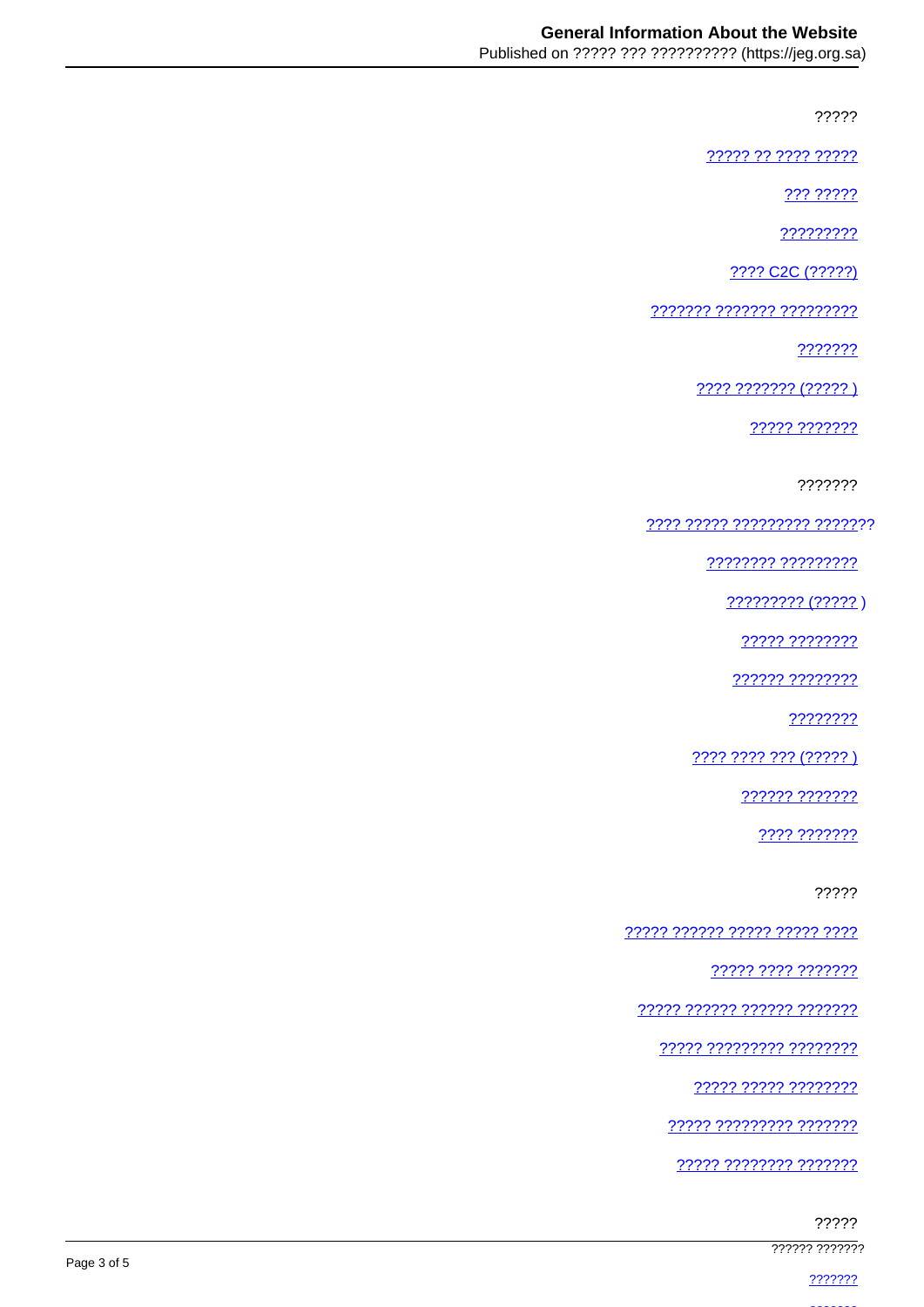?????

77777 77 7777 77777

222 22222

?????????

???? C2C (?????)

7777777 7777777 777777777

???????

???? ??????? (????? )

22222 2222222

???????

???? ????? ????????? ???????

???????? ??????????

????????? (?????)

22222 22222222

?????? ????????

????????

???? ???? ??? (????? )

?????? ???????

???? ???????

?????

<u> ????? ?????? ????? ????? ????</u>

????? ???? ???????

77777 777777 777777 7777777

<u> ????? ????????? ????????</u>

22222 22222 22222222

77777 777777777 7777777

<u> ????? ???????? ????????</u>

?????

777777 7777777

2222222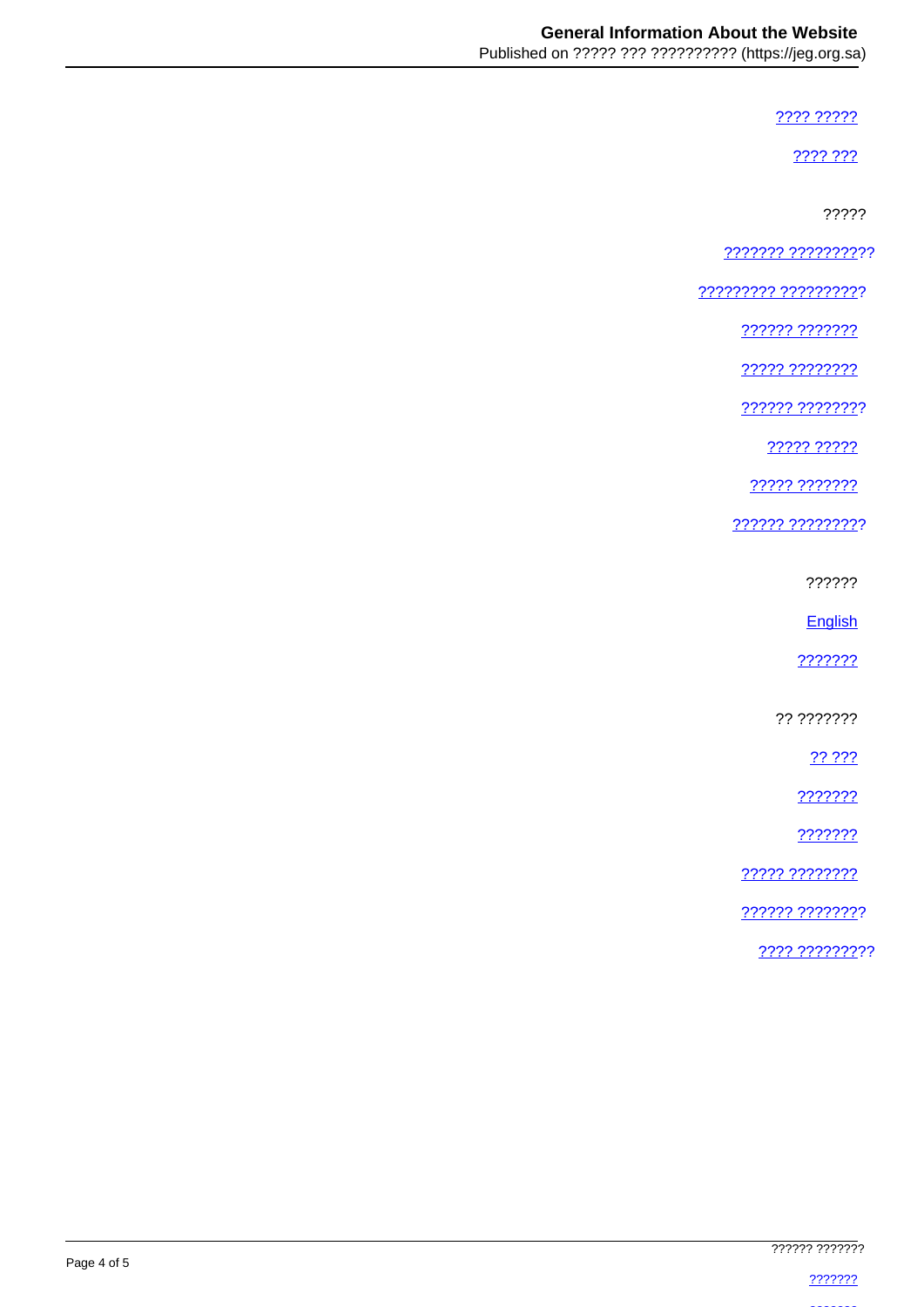???? ?????

2222.222

?????

??????? ??????????

<u> ????????? ??????????</u>

222222 2222222

????? ????????

?????? ????????

22222 22222

????? ???????

?????? ?????????

??????

English

???????

?? ???????

22.222

???????

???????

????? ????????

?????? ????????

???? ?????????